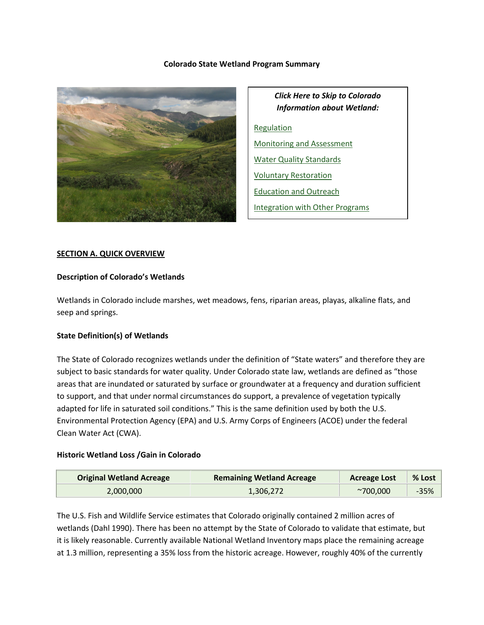## **Colorado State Wetland Program Summary**



*Click Here to Skip to Colorado Information about Wetland:* [Regulation](#page-5-0) [Monitoring and Assessment](#page-8-0) [Water Quality Standards](#page-11-0) [Voluntary Restoration](#page-13-0) [Education and Outreach](#page-16-0) [Integration with Other Programs](#page-17-0)

## **SECTION A. QUICK OVERVIEW**

### **Description of Colorado's Wetlands**

Wetlands in Colorado include marshes, wet meadows, fens, riparian areas, playas, alkaline flats, and seep and springs.

## **State Definition(s) of Wetlands**

The State of Colorado recognizes wetlands under the definition of "State waters" and therefore they are subject to basic standards for water quality. Under Colorado state law, wetlands are defined as "those areas that are inundated or saturated by surface or groundwater at a frequency and duration sufficient to support, and that under normal circumstances do support, a prevalence of vegetation typically adapted for life in saturated soil conditions." This is the same definition used by both the U.S. Environmental Protection Agency (EPA) and U.S. Army Corps of Engineers (ACOE) under the federal Clean Water Act (CWA).

## **Historic Wetland Loss /Gain in Colorado**

| <b>Original Wetland Acreage</b> | <b>Remaining Wetland Acreage</b> | <b>Acreage Lost</b> | $%$ Lost |
|---------------------------------|----------------------------------|---------------------|----------|
| 2,000,000                       | 1,306,272                        | $^{\sim}700.000$    | $-35%$   |

The U.S. Fish and Wildlife Service estimates that Colorado originally contained 2 million acres of wetlands (Dahl 1990). There has been no attempt by the State of Colorado to validate that estimate, but it is likely reasonable. Currently available National Wetland Inventory maps place the remaining acreage at 1.3 million, representing a 35% loss from the historic acreage. However, roughly 40% of the currently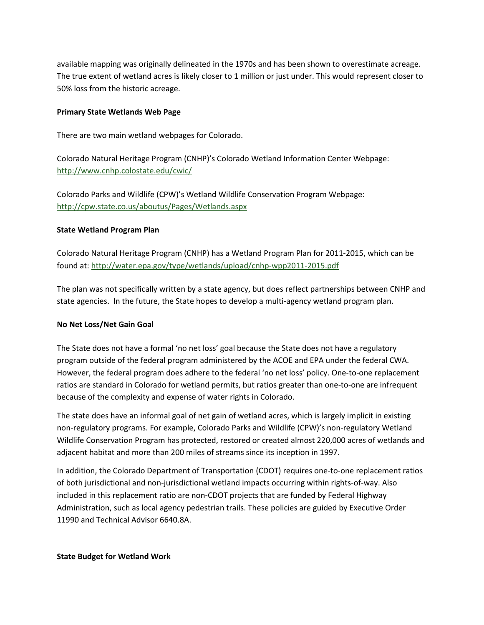available mapping was originally delineated in the 1970s and has been shown to overestimate acreage. The true extent of wetland acres is likely closer to 1 million or just under. This would represent closer to 50% loss from the historic acreage.

### **Primary State Wetlands Web Page**

There are two main wetland webpages for Colorado.

Colorado Natural Heritage Program (CNHP)'s Colorado Wetland Information Center Webpage: <http://www.cnhp.colostate.edu/cwic/>

Colorado Parks and Wildlife (CPW)'s Wetland Wildlife Conservation Program Webpage: <http://cpw.state.co.us/aboutus/Pages/Wetlands.aspx>

## **State Wetland Program Plan**

Colorado Natural Heritage Program (CNHP) has a Wetland Program Plan for 2011-2015, which can be found at:<http://water.epa.gov/type/wetlands/upload/cnhp-wpp2011-2015.pdf>

The plan was not specifically written by a state agency, but does reflect partnerships between CNHP and state agencies. In the future, the State hopes to develop a multi-agency wetland program plan.

## **No Net Loss/Net Gain Goal**

The State does not have a formal 'no net loss' goal because the State does not have a regulatory program outside of the federal program administered by the ACOE and EPA under the federal CWA. However, the federal program does adhere to the federal 'no net loss' policy. One-to-one replacement ratios are standard in Colorado for wetland permits, but ratios greater than one-to-one are infrequent because of the complexity and expense of water rights in Colorado.

The state does have an informal goal of net gain of wetland acres, which is largely implicit in existing non-regulatory programs. For example, Colorado Parks and Wildlife (CPW)'s non-regulatory Wetland Wildlife Conservation Program has protected, restored or created almost 220,000 acres of wetlands and adjacent habitat and more than 200 miles of streams since its inception in 1997.

In addition, the Colorado Department of Transportation (CDOT) requires one-to-one replacement ratios of both jurisdictional and non-jurisdictional wetland impacts occurring within rights-of-way. Also included in this replacement ratio are non-CDOT projects that are funded by Federal Highway Administration, such as local agency pedestrian trails. These policies are guided by Executive Order 11990 and Technical Advisor 6640.8A.

**State Budget for Wetland Work**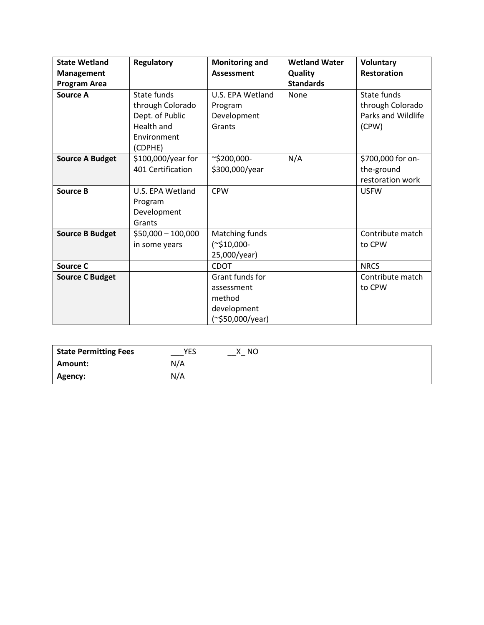| <b>State Wetland</b>   | Regulatory          | <b>Monitoring and</b> | <b>Wetland Water</b> | <b>Voluntary</b>   |
|------------------------|---------------------|-----------------------|----------------------|--------------------|
| <b>Management</b>      |                     | <b>Assessment</b>     | <b>Quality</b>       | <b>Restoration</b> |
| <b>Program Area</b>    |                     |                       | <b>Standards</b>     |                    |
| <b>Source A</b>        | <b>State funds</b>  | U.S. EPA Wetland      | None                 | State funds        |
|                        | through Colorado    | Program               |                      | through Colorado   |
|                        | Dept. of Public     | Development           |                      | Parks and Wildlife |
|                        | Health and          | Grants                |                      | (CPW)              |
|                        | Environment         |                       |                      |                    |
|                        | (CDPHE)             |                       |                      |                    |
| <b>Source A Budget</b> | \$100,000/year for  | $\sim$ \$200,000-     | N/A                  | \$700,000 for on-  |
|                        | 401 Certification   | \$300,000/year        |                      | the-ground         |
|                        |                     |                       |                      | restoration work   |
| <b>Source B</b>        | U.S. EPA Wetland    | <b>CPW</b>            |                      | <b>USFW</b>        |
|                        | Program             |                       |                      |                    |
|                        | Development         |                       |                      |                    |
|                        | Grants              |                       |                      |                    |
| <b>Source B Budget</b> | $$50,000 - 100,000$ | Matching funds        |                      | Contribute match   |
|                        | in some years       | $(*$10,000-$          |                      | to CPW             |
|                        |                     | 25,000/year)          |                      |                    |
| <b>Source C</b>        |                     | <b>CDOT</b>           |                      | <b>NRCS</b>        |
| <b>Source C Budget</b> |                     | Grant funds for       |                      | Contribute match   |
|                        |                     | assessment            |                      | to CPW             |
|                        |                     | method                |                      |                    |
|                        |                     | development           |                      |                    |
|                        |                     | (~\$50,000/year)      |                      |                    |

| <b>State Permitting Fees</b> | YES | NO.<br>х |
|------------------------------|-----|----------|
| <b>Amount:</b>               | N/A |          |
| Agency:                      | N/A |          |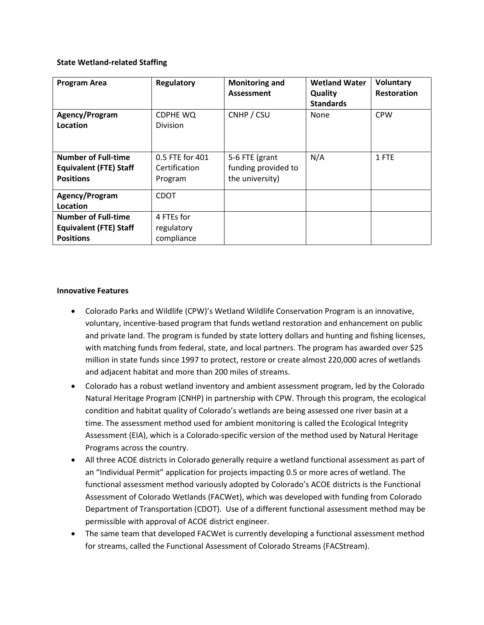## **State Wetland-related Staffing**

| <b>Program Area</b>           | Regulatory      | <b>Monitoring and</b><br>Assessment | <b>Wetland Water</b><br>Quality | Voluntary<br><b>Restoration</b> |
|-------------------------------|-----------------|-------------------------------------|---------------------------------|---------------------------------|
|                               |                 |                                     | <b>Standards</b>                |                                 |
| Agency/Program                | CDPHE WQ        | CNHP / CSU                          | None                            | <b>CPW</b>                      |
| Location                      | <b>Division</b> |                                     |                                 |                                 |
|                               |                 |                                     |                                 |                                 |
| <b>Number of Full-time</b>    | 0.5 FTE for 401 | 5-6 FTE (grant                      | N/A                             | 1 FTE                           |
| <b>Equivalent (FTE) Staff</b> | Certification   | funding provided to                 |                                 |                                 |
| <b>Positions</b>              | Program         | the university)                     |                                 |                                 |
| Agency/Program                | <b>CDOT</b>     |                                     |                                 |                                 |
| Location                      |                 |                                     |                                 |                                 |
| <b>Number of Full-time</b>    | 4 FTEs for      |                                     |                                 |                                 |
| <b>Equivalent (FTE) Staff</b> | regulatory      |                                     |                                 |                                 |
| <b>Positions</b>              | compliance      |                                     |                                 |                                 |

## **Innovative Features**

- Colorado Parks and Wildlife (CPW)'s Wetland Wildlife Conservation Program is an innovative, voluntary, incentive-based program that funds wetland restoration and enhancement on public and private land. The program is funded by state lottery dollars and hunting and fishing licenses, with matching funds from federal, state, and local partners. The program has awarded over \$25 million in state funds since 1997 to protect, restore or create almost 220,000 acres of wetlands and adjacent habitat and more than 200 miles of streams.
- Colorado has a robust wetland inventory and ambient assessment program, led by the Colorado Natural Heritage Program (CNHP) in partnership with CPW. Through this program, the ecological condition and habitat quality of Colorado's wetlands are being assessed one river basin at a time. The assessment method used for ambient monitoring is called the Ecological Integrity Assessment (EIA), which is a Colorado-specific version of the method used by Natural Heritage Programs across the country.
- All three ACOE districts in Colorado generally require a wetland functional assessment as part of an "Individual Permit" application for projects impacting 0.5 or more acres of wetland. The functional assessment method variously adopted by Colorado's ACOE districts is the Functional Assessment of Colorado Wetlands (FACWet), which was developed with funding from Colorado Department of Transportation (CDOT). Use of a different functional assessment method may be permissible with approval of ACOE district engineer.
- The same team that developed FACWet is currently developing a functional assessment method for streams, called the Functional Assessment of Colorado Streams (FACStream).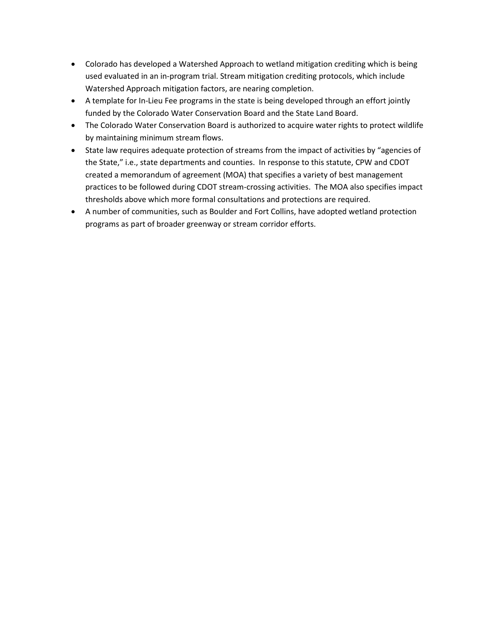- Colorado has developed a Watershed Approach to wetland mitigation crediting which is being used evaluated in an in-program trial. Stream mitigation crediting protocols, which include Watershed Approach mitigation factors, are nearing completion.
- A template for In-Lieu Fee programs in the state is being developed through an effort jointly funded by the Colorado Water Conservation Board and the State Land Board.
- The Colorado Water Conservation Board is authorized to acquire water rights to protect wildlife by maintaining minimum stream flows.
- State law requires adequate protection of streams from the impact of activities by "agencies of the State," i.e., state departments and counties. In response to this statute, CPW and CDOT created a memorandum of agreement (MOA) that specifies a variety of best management practices to be followed during CDOT stream-crossing activities. The MOA also specifies impact thresholds above which more formal consultations and protections are required.
- A number of communities, such as Boulder and Fort Collins, have adopted wetland protection programs as part of broader greenway or stream corridor efforts.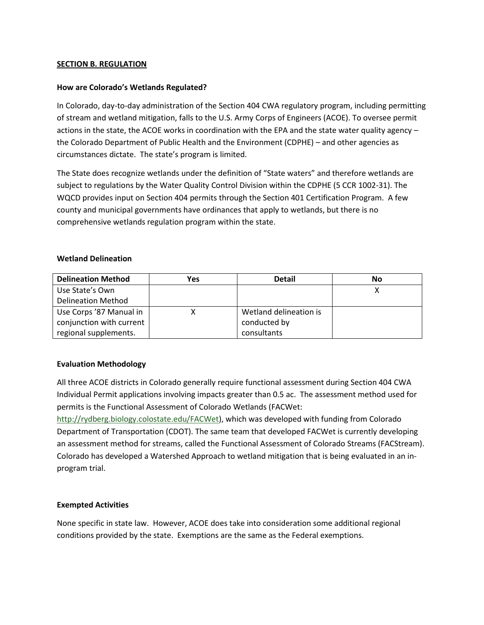## <span id="page-5-0"></span>**SECTION B. REGULATION**

## **How are Colorado's Wetlands Regulated?**

In Colorado, day-to-day administration of the Section 404 CWA regulatory program, including permitting of stream and wetland mitigation, falls to the U.S. Army Corps of Engineers (ACOE). To oversee permit actions in the state, the ACOE works in coordination with the EPA and the state water quality agency – the Colorado Department of Public Health and the Environment (CDPHE) – and other agencies as circumstances dictate. The state's program is limited.

The State does recognize wetlands under the definition of "State waters" and therefore wetlands are subject to regulations by the Water Quality Control Division within the CDPHE (5 CCR 1002-31). The WQCD provides input on Section 404 permits through the Section 401 Certification Program. A few county and municipal governments have ordinances that apply to wetlands, but there is no comprehensive wetlands regulation program within the state.

## **Wetland Delineation**

| <b>Delineation Method</b> | Yes | <b>Detail</b>          | Νo |
|---------------------------|-----|------------------------|----|
| Use State's Own           |     |                        |    |
| <b>Delineation Method</b> |     |                        |    |
| Use Corps '87 Manual in   |     | Wetland delineation is |    |
| conjunction with current  |     | conducted by           |    |
| regional supplements.     |     | consultants            |    |

## **Evaluation Methodology**

All three ACOE districts in Colorado generally require functional assessment during Section 404 CWA Individual Permit applications involving impacts greater than 0.5 ac. The assessment method used for permits is the Functional Assessment of Colorado Wetlands (FACWet:

[http://rydberg.biology.colostate.edu/FACWet\)](http://rydberg.biology.colostate.edu/FACWet), which was developed with funding from Colorado Department of Transportation (CDOT). The same team that developed FACWet is currently developing an assessment method for streams, called the Functional Assessment of Colorado Streams (FACStream). Colorado has developed a Watershed Approach to wetland mitigation that is being evaluated in an inprogram trial.

## **Exempted Activities**

None specific in state law. However, ACOE does take into consideration some additional regional conditions provided by the state. Exemptions are the same as the Federal exemptions.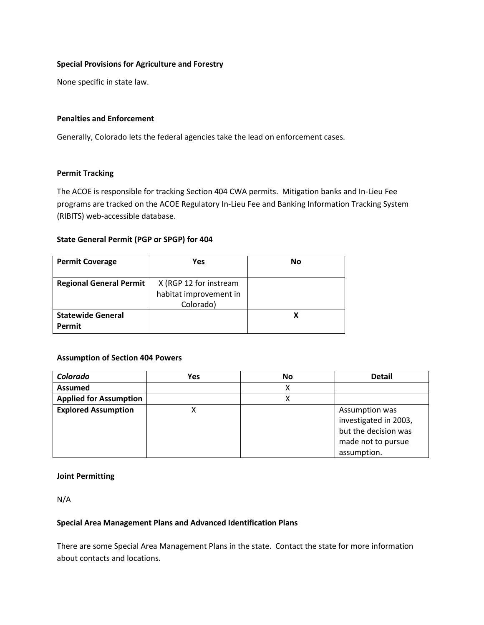## **Special Provisions for Agriculture and Forestry**

None specific in state law.

### **Penalties and Enforcement**

Generally, Colorado lets the federal agencies take the lead on enforcement cases.

### **Permit Tracking**

The ACOE is responsible for tracking Section 404 CWA permits. Mitigation banks and In-Lieu Fee programs are tracked on the ACOE Regulatory In-Lieu Fee and Banking Information Tracking System (RIBITS) web-accessible database.

## **State General Permit (PGP or SPGP) for 404**

| <b>Permit Coverage</b>             | Yes                    | No |
|------------------------------------|------------------------|----|
| <b>Regional General Permit</b>     | X (RGP 12 for instream |    |
|                                    | habitat improvement in |    |
|                                    | Colorado)              |    |
| <b>Statewide General</b><br>Permit |                        |    |

## **Assumption of Section 404 Powers**

| Colorado                      | Yes | <b>No</b> | <b>Detail</b>                                                                                        |
|-------------------------------|-----|-----------|------------------------------------------------------------------------------------------------------|
| <b>Assumed</b>                |     | х         |                                                                                                      |
| <b>Applied for Assumption</b> |     |           |                                                                                                      |
| <b>Explored Assumption</b>    |     |           | Assumption was<br>investigated in 2003,<br>but the decision was<br>made not to pursue<br>assumption. |

### **Joint Permitting**

N/A

## **Special Area Management Plans and Advanced Identification Plans**

There are some Special Area Management Plans in the state. Contact the state for more information about contacts and locations.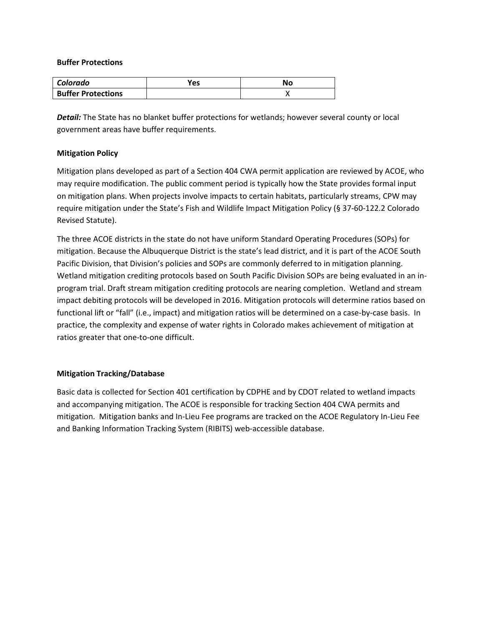### **Buffer Protections**

| Colorado                  | Yes | Νo |
|---------------------------|-----|----|
| <b>Buffer Protections</b> |     |    |

*Detail:* The State has no blanket buffer protections for wetlands; however several county or local government areas have buffer requirements.

## **Mitigation Policy**

Mitigation plans developed as part of a Section 404 CWA permit application are reviewed by ACOE, who may require modification. The public comment period is typically how the State provides formal input on mitigation plans. When projects involve impacts to certain habitats, particularly streams, CPW may require mitigation under the State's Fish and Wildlife Impact Mitigation Policy (§ 37-60-122.2 Colorado Revised Statute).

The three ACOE districts in the state do not have uniform Standard Operating Procedures (SOPs) for mitigation. Because the Albuquerque District is the state's lead district, and it is part of the ACOE South Pacific Division, that Division's policies and SOPs are commonly deferred to in mitigation planning. Wetland mitigation crediting protocols based on South Pacific Division SOPs are being evaluated in an inprogram trial. Draft stream mitigation crediting protocols are nearing completion. Wetland and stream impact debiting protocols will be developed in 2016. Mitigation protocols will determine ratios based on functional lift or "fall" (i.e., impact) and mitigation ratios will be determined on a case-by-case basis. In practice, the complexity and expense of water rights in Colorado makes achievement of mitigation at ratios greater that one-to-one difficult.

## **Mitigation Tracking/Database**

Basic data is collected for Section 401 certification by CDPHE and by CDOT related to wetland impacts and accompanying mitigation. The ACOE is responsible for tracking Section 404 CWA permits and mitigation. Mitigation banks and In-Lieu Fee programs are tracked on the ACOE Regulatory In-Lieu Fee and Banking Information Tracking System (RIBITS) web-accessible database.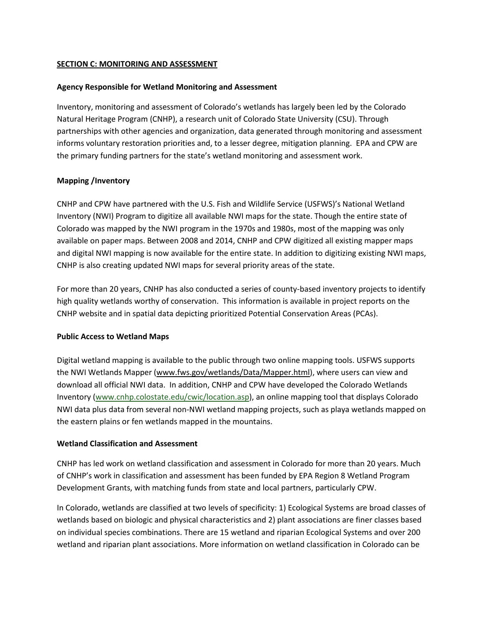## <span id="page-8-0"></span>**SECTION C: MONITORING AND ASSESSMENT**

## **Agency Responsible for Wetland Monitoring and Assessment**

Inventory, monitoring and assessment of Colorado's wetlands has largely been led by the Colorado Natural Heritage Program (CNHP), a research unit of Colorado State University (CSU). Through partnerships with other agencies and organization, data generated through monitoring and assessment informs voluntary restoration priorities and, to a lesser degree, mitigation planning. EPA and CPW are the primary funding partners for the state's wetland monitoring and assessment work.

## **Mapping /Inventory**

CNHP and CPW have partnered with the U.S. Fish and Wildlife Service (USFWS)'s National Wetland Inventory (NWI) Program to digitize all available NWI maps for the state. Though the entire state of Colorado was mapped by the NWI program in the 1970s and 1980s, most of the mapping was only available on paper maps. Between 2008 and 2014, CNHP and CPW digitized all existing mapper maps and digital NWI mapping is now available for the entire state. In addition to digitizing existing NWI maps, CNHP is also creating updated NWI maps for several priority areas of the state.

For more than 20 years, CNHP has also conducted a series of county-based inventory projects to identify high quality wetlands worthy of conservation. This information is available in project reports on the CNHP website and in spatial data depicting prioritized Potential Conservation Areas (PCAs).

## **Public Access to Wetland Maps**

Digital wetland mapping is available to the public through two online mapping tools. USFWS supports the NWI Wetlands Mapper [\(www.fws.gov/wetlands/Data/Mapper.html\)](http://www.fws.gov/wetlands/Data/Mapper.html), where users can view and download all official NWI data. In addition, CNHP and CPW have developed the Colorado Wetlands Inventory [\(www.cnhp.colostate.edu/cwic/location.asp\)](http://www.cnhp.colostate.edu/cwic/location.asp), an online mapping tool that displays Colorado NWI data plus data from several non-NWI wetland mapping projects, such as playa wetlands mapped on the eastern plains or fen wetlands mapped in the mountains.

## **Wetland Classification and Assessment**

CNHP has led work on wetland classification and assessment in Colorado for more than 20 years. Much of CNHP's work in classification and assessment has been funded by EPA Region 8 Wetland Program Development Grants, with matching funds from state and local partners, particularly CPW.

In Colorado, wetlands are classified at two levels of specificity: 1) Ecological Systems are broad classes of wetlands based on biologic and physical characteristics and 2) plant associations are finer classes based on individual species combinations. There are 15 wetland and riparian Ecological Systems and over 200 wetland and riparian plant associations. More information on wetland classification in Colorado can be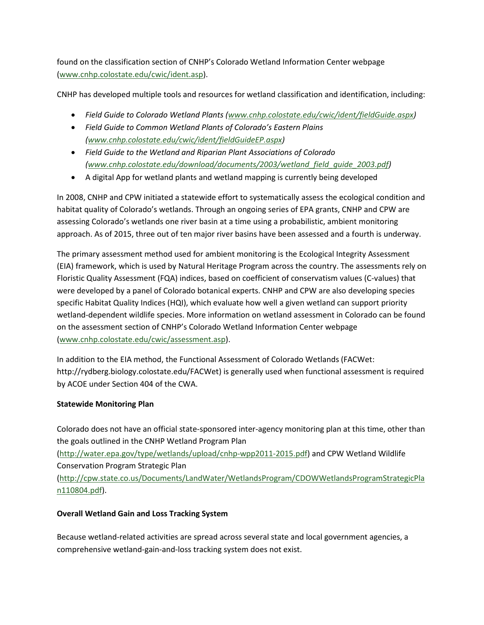found on the classification section of CNHP's Colorado Wetland Information Center webpage [\(www.cnhp.colostate.edu/cwic/ident.asp\)](http://www.cnhp.colostate.edu/cwic/ident.asp).

CNHP has developed multiple tools and resources for wetland classification and identification, including:

- *Field Guide to Colorado Wetland Plants [\(www.cnhp.colostate.edu/cwic/ident/fieldGuide.aspx\)](http://www.cnhp.colostate.edu/cwic/ident/fieldGuide.aspx)*
- *Field Guide to Common Wetland Plants of Colorado's Eastern Plains [\(www.cnhp.colostate.edu/cwic/ident/fieldGuideEP.aspx\)](http://www.cnhp.colostate.edu/cwic/ident/fieldGuideEP.aspx)*
- *Field Guide to the Wetland and Riparian Plant Associations of Colorado [\(www.cnhp.colostate.edu/download/documents/2003/wetland\\_field\\_guide\\_2003.pdf\)](http://www.cnhp.colostate.edu/download/documents/2003/wetland_field_guide_2003.pdf)*
- A digital App for wetland plants and wetland mapping is currently being developed

In 2008, CNHP and CPW initiated a statewide effort to systematically assess the ecological condition and habitat quality of Colorado's wetlands. Through an ongoing series of EPA grants, CNHP and CPW are assessing Colorado's wetlands one river basin at a time using a probabilistic, ambient monitoring approach. As of 2015, three out of ten major river basins have been assessed and a fourth is underway.

The primary assessment method used for ambient monitoring is the Ecological Integrity Assessment (EIA) framework, which is used by Natural Heritage Program across the country. The assessments rely on Floristic Quality Assessment (FQA) indices, based on coefficient of conservatism values (C-values) that were developed by a panel of Colorado botanical experts. CNHP and CPW are also developing species specific Habitat Quality Indices (HQI), which evaluate how well a given wetland can support priority wetland-dependent wildlife species. More information on wetland assessment in Colorado can be found on the assessment section of CNHP's Colorado Wetland Information Center webpage [\(www.cnhp.colostate.edu/cwic/assessment.asp\)](http://www.cnhp.colostate.edu/cwic/assessment.asp).

In addition to the EIA method, the Functional Assessment of Colorado Wetlands (FACWet: http://rydberg.biology.colostate.edu/FACWet) is generally used when functional assessment is required by ACOE under Section 404 of the CWA.

# **Statewide Monitoring Plan**

Colorado does not have an official state-sponsored inter-agency monitoring plan at this time, other than the goals outlined in the CNHP Wetland Program Plan [\(http://water.epa.gov/type/wetlands/upload/cnhp-wpp2011-2015.pdf\)](http://water.epa.gov/type/wetlands/upload/cnhp-wpp2011-2015.pdf) and CPW Wetland Wildlife Conservation Program Strategic Plan [\(http://cpw.state.co.us/Documents/LandWater/WetlandsProgram/CDOWWetlandsProgramStrategicPla](http://cpw.state.co.us/Documents/LandWater/WetlandsProgram/CDOWWetlandsProgramStrategicPlan110804.pdf) [n110804.pdf\)](http://cpw.state.co.us/Documents/LandWater/WetlandsProgram/CDOWWetlandsProgramStrategicPlan110804.pdf).

# **Overall Wetland Gain and Loss Tracking System**

Because wetland-related activities are spread across several state and local government agencies, a comprehensive wetland-gain-and-loss tracking system does not exist.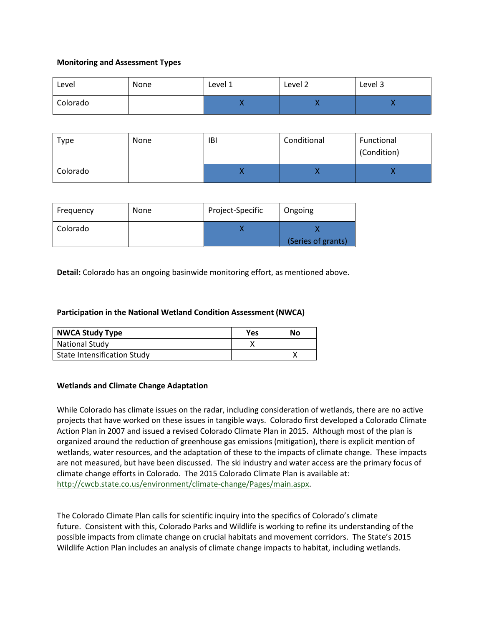## **Monitoring and Assessment Types**

| Level    | None | Level 1 | Level 2 | Level 3 |
|----------|------|---------|---------|---------|
| Colorado |      |         | ,,      |         |

| Type     | None | <b>IBI</b> | Conditional | Functional<br>(Condition) |
|----------|------|------------|-------------|---------------------------|
| Colorado |      |            | . .         |                           |

| Frequency | None | Project-Specific | Ongoing            |
|-----------|------|------------------|--------------------|
| Colorado  |      |                  | (Series of grants) |

**Detail:** Colorado has an ongoing basinwide monitoring effort, as mentioned above.

### **Participation in the National Wetland Condition Assessment (NWCA)**

| <b>NWCA Study Type</b>             | Yes | No |
|------------------------------------|-----|----|
| <b>National Study</b>              |     |    |
| <b>State Intensification Study</b> |     |    |

### **Wetlands and Climate Change Adaptation**

While Colorado has climate issues on the radar, including consideration of wetlands, there are no active projects that have worked on these issues in tangible ways. Colorado first developed a Colorado Climate Action Plan in 2007 and issued a revised Colorado Climate Plan in 2015. Although most of the plan is organized around the reduction of greenhouse gas emissions (mitigation), there is explicit mention of wetlands, water resources, and the adaptation of these to the impacts of climate change. These impacts are not measured, but have been discussed. The ski industry and water access are the primary focus of climate change efforts in Colorado. The 2015 Colorado Climate Plan is available at: [http://cwcb.state.co.us/environment/climate-change/Pages/main.aspx.](http://cwcb.state.co.us/environment/climate-change/Pages/main.aspx)

The Colorado Climate Plan calls for scientific inquiry into the specifics of Colorado's climate future. Consistent with this, Colorado Parks and Wildlife is working to refine its understanding of the possible impacts from climate change on crucial habitats and movement corridors. The State's 2015 Wildlife Action Plan includes an analysis of climate change impacts to habitat, including wetlands.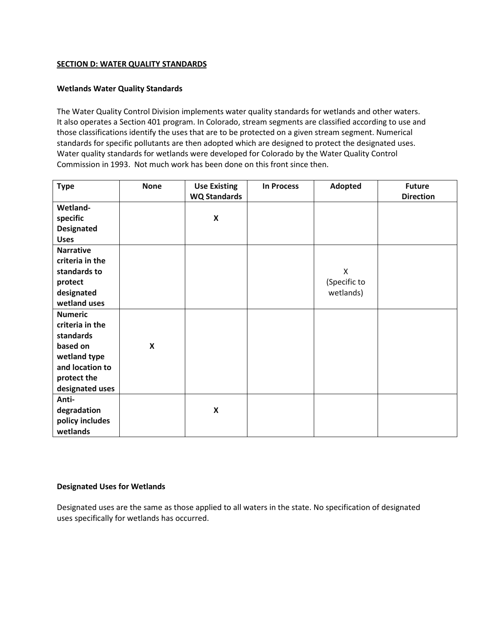## <span id="page-11-0"></span>**SECTION D: WATER QUALITY STANDARDS**

### **Wetlands Water Quality Standards**

The Water Quality Control Division implements water quality standards for wetlands and other waters. It also operates a Section 401 program. In Colorado, stream segments are classified according to use and those classifications identify the uses that are to be protected on a given stream segment. Numerical standards for specific pollutants are then adopted which are designed to protect the designated uses. Water quality standards for wetlands were developed for Colorado by the Water Quality Control Commission in 1993. Not much work has been done on this front since then.

| <b>Type</b>       | <b>None</b>               | <b>Use Existing</b> | <b>In Process</b> | Adopted      | <b>Future</b>    |
|-------------------|---------------------------|---------------------|-------------------|--------------|------------------|
|                   |                           | <b>WQ Standards</b> |                   |              | <b>Direction</b> |
| Wetland-          |                           |                     |                   |              |                  |
| specific          |                           | $\pmb{\mathsf{X}}$  |                   |              |                  |
| <b>Designated</b> |                           |                     |                   |              |                  |
| <b>Uses</b>       |                           |                     |                   |              |                  |
| <b>Narrative</b>  |                           |                     |                   |              |                  |
| criteria in the   |                           |                     |                   |              |                  |
| standards to      |                           |                     |                   | X            |                  |
| protect           |                           |                     |                   | (Specific to |                  |
| designated        |                           |                     |                   | wetlands)    |                  |
| wetland uses      |                           |                     |                   |              |                  |
| <b>Numeric</b>    |                           |                     |                   |              |                  |
| criteria in the   |                           |                     |                   |              |                  |
| standards         |                           |                     |                   |              |                  |
| based on          | $\boldsymbol{\mathsf{x}}$ |                     |                   |              |                  |
| wetland type      |                           |                     |                   |              |                  |
| and location to   |                           |                     |                   |              |                  |
| protect the       |                           |                     |                   |              |                  |
| designated uses   |                           |                     |                   |              |                  |
| Anti-             |                           |                     |                   |              |                  |
| degradation       |                           | $\pmb{\mathsf{X}}$  |                   |              |                  |
| policy includes   |                           |                     |                   |              |                  |
| wetlands          |                           |                     |                   |              |                  |

### **Designated Uses for Wetlands**

Designated uses are the same as those applied to all waters in the state. No specification of designated uses specifically for wetlands has occurred.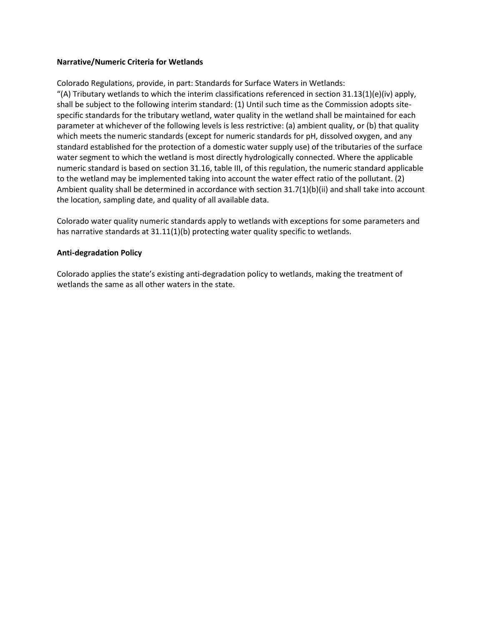### **Narrative/Numeric Criteria for Wetlands**

Colorado Regulations, provide, in part: Standards for Surface Waters in Wetlands:

"(A) Tributary wetlands to which the interim classifications referenced in section  $31.13(1)(e)(iv)$  apply, shall be subject to the following interim standard: (1) Until such time as the Commission adopts sitespecific standards for the tributary wetland, water quality in the wetland shall be maintained for each parameter at whichever of the following levels is less restrictive: (a) ambient quality, or (b) that quality which meets the numeric standards (except for numeric standards for pH, dissolved oxygen, and any standard established for the protection of a domestic water supply use) of the tributaries of the surface water segment to which the wetland is most directly hydrologically connected. Where the applicable numeric standard is based on section 31.16, table III, of this regulation, the numeric standard applicable to the wetland may be implemented taking into account the water effect ratio of the pollutant. (2) Ambient quality shall be determined in accordance with section 31.7(1)(b)(ii) and shall take into account the location, sampling date, and quality of all available data.

Colorado water quality numeric standards apply to wetlands with exceptions for some parameters and has narrative standards at 31.11(1)(b) protecting water quality specific to wetlands.

### **Anti-degradation Policy**

Colorado applies the state's existing anti-degradation policy to wetlands, making the treatment of wetlands the same as all other waters in the state.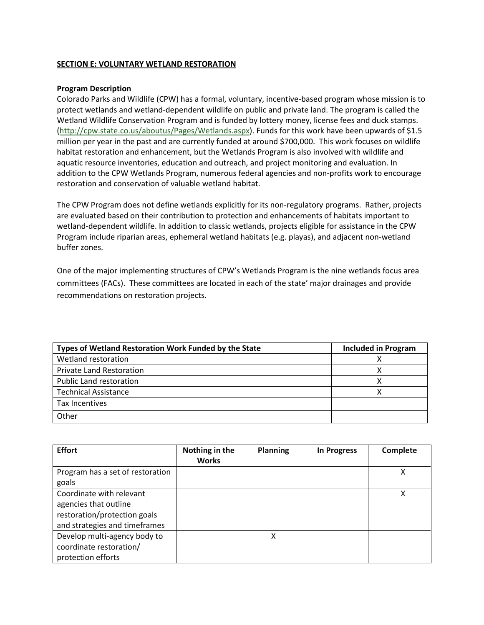## <span id="page-13-0"></span>**SECTION E: VOLUNTARY WETLAND RESTORATION**

### **Program Description**

Colorado Parks and Wildlife (CPW) has a formal, voluntary, incentive-based program whose mission is to protect wetlands and wetland-dependent wildlife on public and private land. The program is called the Wetland Wildlife Conservation Program and is funded by lottery money, license fees and duck stamps. [\(http://cpw.state.co.us/aboutus/Pages/Wetlands.aspx\)](http://cpw.state.co.us/aboutus/Pages/Wetlands.aspx). Funds for this work have been upwards of \$1.5 million per year in the past and are currently funded at around \$700,000. This work focuses on wildlife habitat restoration and enhancement, but the Wetlands Program is also involved with wildlife and aquatic resource inventories, education and outreach, and project monitoring and evaluation. In addition to the CPW Wetlands Program, numerous federal agencies and non-profits work to encourage restoration and conservation of valuable wetland habitat.

The CPW Program does not define wetlands explicitly for its non-regulatory programs. Rather, projects are evaluated based on their contribution to protection and enhancements of habitats important to wetland-dependent wildlife. In addition to classic wetlands, projects eligible for assistance in the CPW Program include riparian areas, ephemeral wetland habitats (e.g. playas), and adjacent non-wetland buffer zones.

One of the major implementing structures of CPW's Wetlands Program is the nine wetlands focus area committees (FACs). These committees are located in each of the state' major drainages and provide recommendations on restoration projects.

| Types of Wetland Restoration Work Funded by the State | <b>Included in Program</b> |
|-------------------------------------------------------|----------------------------|
| Wetland restoration                                   |                            |
| <b>Private Land Restoration</b>                       |                            |
| <b>Public Land restoration</b>                        |                            |
| <b>Technical Assistance</b>                           |                            |
| Tax Incentives                                        |                            |
| Other                                                 |                            |

| <b>Effort</b>                    | Nothing in the<br><b>Works</b> | <b>Planning</b> | <b>In Progress</b> | Complete |
|----------------------------------|--------------------------------|-----------------|--------------------|----------|
| Program has a set of restoration |                                |                 |                    | χ        |
| goals                            |                                |                 |                    |          |
| Coordinate with relevant         |                                |                 |                    |          |
| agencies that outline            |                                |                 |                    |          |
| restoration/protection goals     |                                |                 |                    |          |
| and strategies and timeframes    |                                |                 |                    |          |
| Develop multi-agency body to     |                                | Χ               |                    |          |
| coordinate restoration/          |                                |                 |                    |          |
| protection efforts               |                                |                 |                    |          |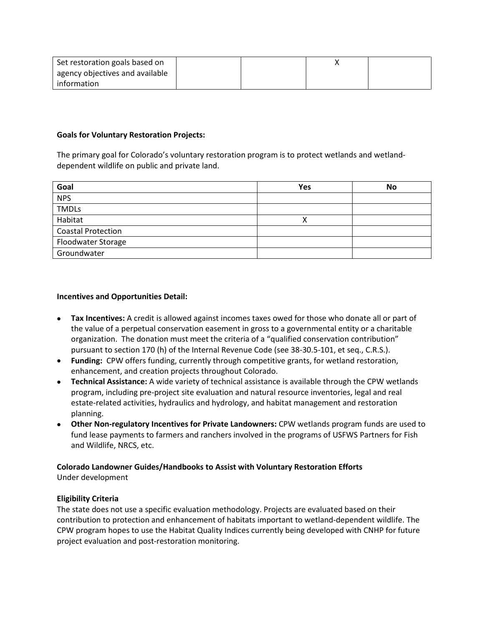| Set restoration goals based on  |  |  |
|---------------------------------|--|--|
| agency objectives and available |  |  |
| information                     |  |  |

## **Goals for Voluntary Restoration Projects:**

The primary goal for Colorado's voluntary restoration program is to protect wetlands and wetlanddependent wildlife on public and private land.

| Goal                      | Yes | <b>No</b> |
|---------------------------|-----|-----------|
| <b>NPS</b>                |     |           |
| <b>TMDLs</b>              |     |           |
| Habitat                   |     |           |
| <b>Coastal Protection</b> |     |           |
| Floodwater Storage        |     |           |
| Groundwater               |     |           |

## **Incentives and Opportunities Detail:**

- **Tax Incentives:** A credit is allowed against incomes taxes owed for those who donate all or part of the value of a perpetual conservation easement in gross to a governmental entity or a charitable organization. The donation must meet the criteria of a "qualified conservation contribution" pursuant to section 170 (h) of the Internal Revenue Code (see 38-30.5-101, et seq., C.R.S.).
- **Funding:** CPW offers funding, currently through competitive grants, for wetland restoration, enhancement, and creation projects throughout Colorado.
- **Technical Assistance:** A wide variety of technical assistance is available through the CPW wetlands program, including pre-project site evaluation and natural resource inventories, legal and real estate-related activities, hydraulics and hydrology, and habitat management and restoration planning.
- **Other Non-regulatory Incentives for Private Landowners:** CPW wetlands program funds are used to fund lease payments to farmers and ranchers involved in the programs of USFWS Partners for Fish and Wildlife, NRCS, etc.

## **Colorado Landowner Guides/Handbooks to Assist with Voluntary Restoration Efforts** Under development

## **Eligibility Criteria**

The state does not use a specific evaluation methodology. Projects are evaluated based on their contribution to protection and enhancement of habitats important to wetland-dependent wildlife. The CPW program hopes to use the Habitat Quality Indices currently being developed with CNHP for future project evaluation and post-restoration monitoring.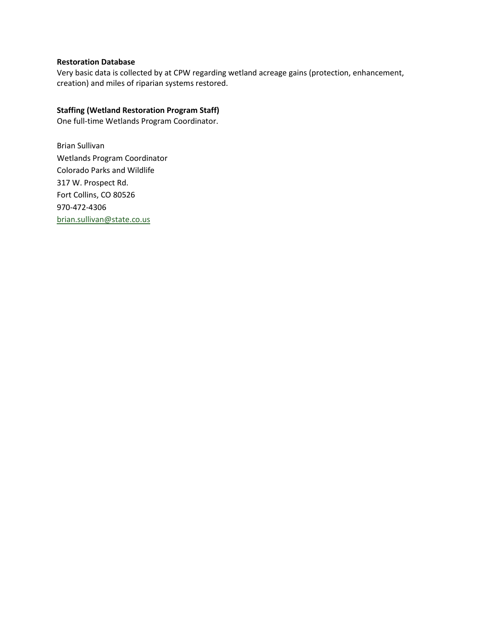## **Restoration Database**

Very basic data is collected by at CPW regarding wetland acreage gains (protection, enhancement, creation) and miles of riparian systems restored.

## **Staffing (Wetland Restoration Program Staff)**

One full-time Wetlands Program Coordinator.

Brian Sullivan Wetlands Program Coordinator Colorado Parks and Wildlife 317 W. Prospect Rd. Fort Collins, CO 80526 970-472-4306 [brian.sullivan@state.co.us](mailto:brian.sullivan@state.co.us)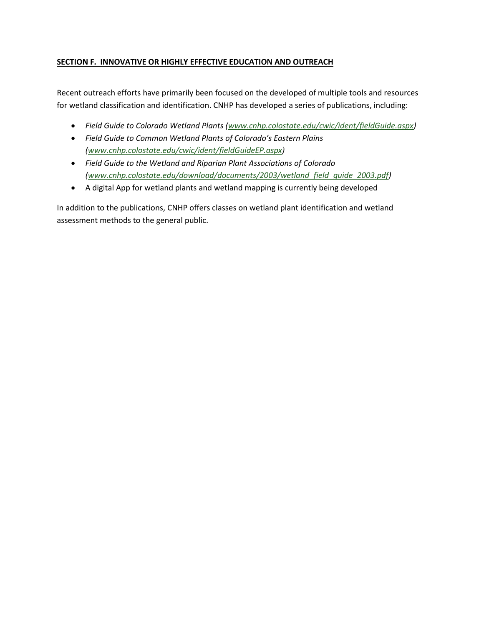## <span id="page-16-0"></span>**SECTION F. INNOVATIVE OR HIGHLY EFFECTIVE EDUCATION AND OUTREACH**

Recent outreach efforts have primarily been focused on the developed of multiple tools and resources for wetland classification and identification. CNHP has developed a series of publications, including:

- *Field Guide to Colorado Wetland Plants [\(www.cnhp.colostate.edu/cwic/ident/fieldGuide.aspx\)](http://www.cnhp.colostate.edu/cwic/ident/fieldGuide.aspx)*
- *Field Guide to Common Wetland Plants of Colorado's Eastern Plains [\(www.cnhp.colostate.edu/cwic/ident/fieldGuideEP.aspx\)](http://www.cnhp.colostate.edu/cwic/ident/fieldGuideEP.aspx)*
- *Field Guide to the Wetland and Riparian Plant Associations of Colorado [\(www.cnhp.colostate.edu/download/documents/2003/wetland\\_field\\_guide\\_2003.pdf\)](http://www.cnhp.colostate.edu/download/documents/2003/wetland_field_guide_2003.pdf)*
- A digital App for wetland plants and wetland mapping is currently being developed

In addition to the publications, CNHP offers classes on wetland plant identification and wetland assessment methods to the general public.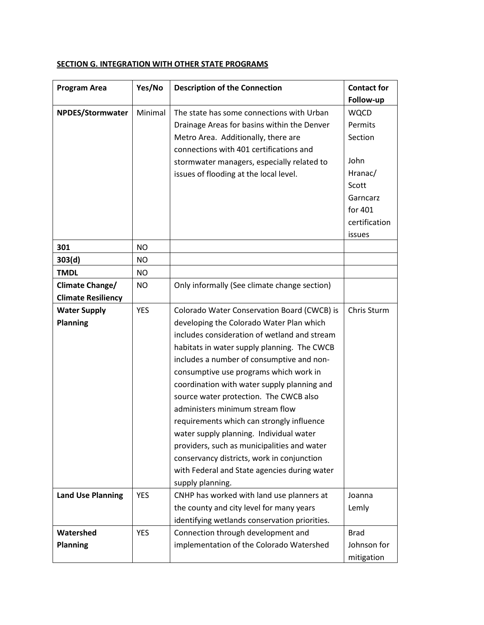#### **Program Area Program Area Program Area Program Area Program Area Program Area Program 2 Follow-up NPDES/Stormwater** | Minimal | The state has some connections with Urban Drainage Areas for basins within the Denver Metro Area. Additionally, there are connections with 401 certifications and stormwater managers, especially related to issues of flooding at the local level. WQCD Permits Section John Hranac/ Scott Garncarz for 401 certification issues **301** NO **303(d)** NO **TMDL** NO **Climate Change/ Climate Resiliency** NO | Only informally (See climate change section) **Water Supply Planning** YES Colorado Water Conservation Board (CWCB) is developing the Colorado Water Plan which includes consideration of wetland and stream habitats in water supply planning. The CWCB includes a number of consumptive and nonconsumptive use programs which work in coordination with water supply planning and source water protection. The CWCB also administers minimum stream flow requirements which can strongly influence water supply planning. Individual water providers, such as municipalities and water conservancy districts, work in conjunction with Federal and State agencies during water supply planning. Chris Sturm **Land Use Planning** | YES | CNHP has worked with land use planners at the county and city level for many years identifying wetlands conservation priorities. Joanna Lemly **Watershed Planning** YES Connection through development and implementation of the Colorado Watershed Brad Johnson for mitigation

## <span id="page-17-0"></span>**SECTION G. INTEGRATION WITH OTHER STATE PROGRAMS**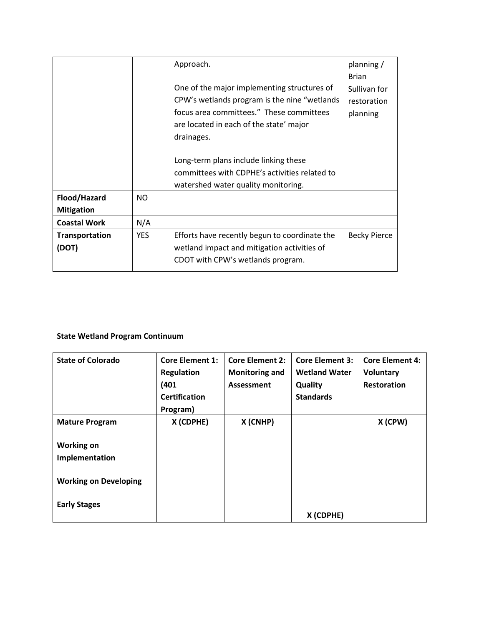|                     |            | Approach.                                     | planning /          |
|---------------------|------------|-----------------------------------------------|---------------------|
|                     |            |                                               | <b>Brian</b>        |
|                     |            | One of the major implementing structures of   | Sullivan for        |
|                     |            | CPW's wetlands program is the nine "wetlands" | restoration         |
|                     |            | focus area committees." These committees      | planning            |
|                     |            | are located in each of the state' major       |                     |
|                     |            | drainages.                                    |                     |
|                     |            |                                               |                     |
|                     |            | Long-term plans include linking these         |                     |
|                     |            | committees with CDPHE's activities related to |                     |
|                     |            | watershed water quality monitoring.           |                     |
| Flood/Hazard        | <b>NO</b>  |                                               |                     |
| <b>Mitigation</b>   |            |                                               |                     |
| <b>Coastal Work</b> | N/A        |                                               |                     |
| Transportation      | <b>YES</b> | Efforts have recently begun to coordinate the | <b>Becky Pierce</b> |
| (DOT)               |            | wetland impact and mitigation activities of   |                     |
|                     |            | CDOT with CPW's wetlands program.             |                     |
|                     |            |                                               |                     |

# **State Wetland Program Continuum**

| <b>State of Colorado</b>     | <b>Core Element 1:</b><br><b>Regulation</b> | <b>Core Element 2:</b><br><b>Monitoring and</b> | <b>Core Element 3:</b><br><b>Wetland Water</b> | <b>Core Element 4:</b><br>Voluntary |
|------------------------------|---------------------------------------------|-------------------------------------------------|------------------------------------------------|-------------------------------------|
|                              | (401)                                       | <b>Assessment</b>                               | Quality                                        | <b>Restoration</b>                  |
|                              | <b>Certification</b>                        |                                                 | <b>Standards</b>                               |                                     |
|                              | Program)                                    |                                                 |                                                |                                     |
| <b>Mature Program</b>        | X (CDPHE)                                   | X (CNHP)                                        |                                                | X (CPW)                             |
| <b>Working on</b>            |                                             |                                                 |                                                |                                     |
| Implementation               |                                             |                                                 |                                                |                                     |
| <b>Working on Developing</b> |                                             |                                                 |                                                |                                     |
| <b>Early Stages</b>          |                                             |                                                 | X (CDPHE)                                      |                                     |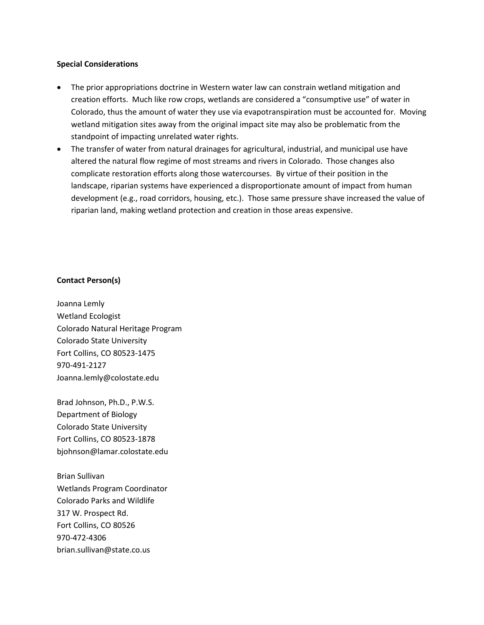### **Special Considerations**

- The prior appropriations doctrine in Western water law can constrain wetland mitigation and creation efforts. Much like row crops, wetlands are considered a "consumptive use" of water in Colorado, thus the amount of water they use via evapotranspiration must be accounted for. Moving wetland mitigation sites away from the original impact site may also be problematic from the standpoint of impacting unrelated water rights.
- The transfer of water from natural drainages for agricultural, industrial, and municipal use have altered the natural flow regime of most streams and rivers in Colorado. Those changes also complicate restoration efforts along those watercourses. By virtue of their position in the landscape, riparian systems have experienced a disproportionate amount of impact from human development (e.g., road corridors, housing, etc.). Those same pressure shave increased the value of riparian land, making wetland protection and creation in those areas expensive.

### **Contact Person(s)**

Joanna Lemly Wetland Ecologist Colorado Natural Heritage Program Colorado State University Fort Collins, CO 80523-1475 970-491-2127 Joanna.lemly@colostate.edu

Brad Johnson, Ph.D., P.W.S. Department of Biology Colorado State University Fort Collins, CO 80523-1878 bjohnson@lamar.colostate.edu

Brian Sullivan Wetlands Program Coordinator Colorado Parks and Wildlife 317 W. Prospect Rd. Fort Collins, CO 80526 970-472-4306 brian.sullivan@state.co.us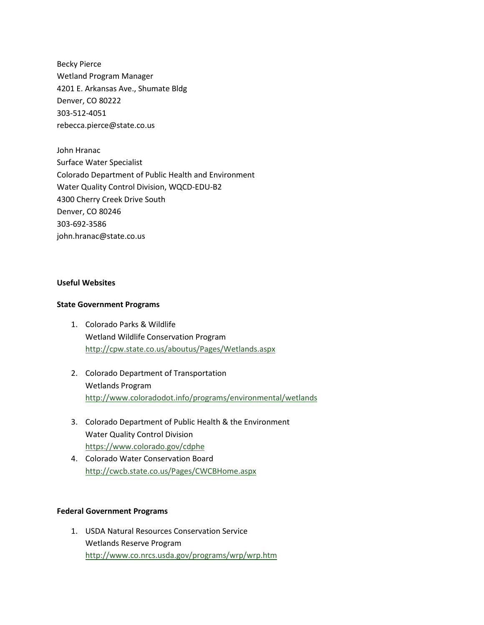Becky Pierce Wetland Program Manager 4201 E. Arkansas Ave., Shumate Bldg Denver, CO 80222 303-512-4051 rebecca.pierce@state.co.us

John Hranac Surface Water Specialist Colorado Department of Public Health and Environment Water Quality Control Division, WQCD-EDU-B2 4300 Cherry Creek Drive South Denver, CO 80246 303-692-3586 john.hranac@state.co.us

### **Useful Websites**

### **State Government Programs**

- 1. Colorado Parks & Wildlife Wetland Wildlife Conservation Program <http://cpw.state.co.us/aboutus/Pages/Wetlands.aspx>
- 2. Colorado Department of Transportation Wetlands Program <http://www.coloradodot.info/programs/environmental/wetlands>
- 3. Colorado Department of Public Health & the Environment Water Quality Control Division <https://www.colorado.gov/cdphe>
- 4. Colorado Water Conservation Board <http://cwcb.state.co.us/Pages/CWCBHome.aspx>

### **Federal Government Programs**

1. USDA Natural Resources Conservation Service Wetlands Reserve Program <http://www.co.nrcs.usda.gov/programs/wrp/wrp.htm>